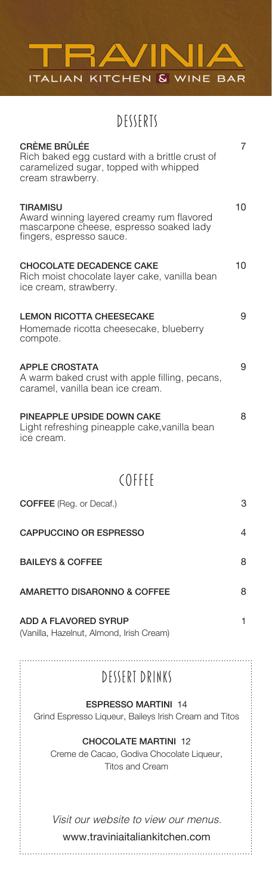

DESSERTS

| <b>CRÈME BRÛLÉE</b><br>Rich baked egg custard with a brittle crust of<br>caramelized sugar, topped with whipped<br>cream strawberry. | 7  |
|--------------------------------------------------------------------------------------------------------------------------------------|----|
| <b>TIRAMISU</b><br>Award winning layered creamy rum flavored<br>mascarpone cheese, espresso soaked lady<br>fingers, espresso sauce.  | 10 |
| <b>CHOCOLATE DECADENCE CAKE</b><br>Rich moist chocolate layer cake, vanilla bean<br>ice cream, strawberry.                           | 10 |
| <b>LEMON RICOTTA CHEESECAKE</b><br>Homemade ricotta cheesecake, blueberry<br>compote.                                                | 9  |
| <b>APPLE CROSTATA</b><br>A warm baked crust with apple filling, pecans,<br>caramel, vanilla bean ice cream.                          | 9  |
| PINEAPPLE UPSIDE DOWN CAKE<br>Light refreshing pineapple cake, vanilla bean<br>ice cream.                                            | 8  |
| <b>COFFEE</b>                                                                                                                        |    |
| <b>COFFEE</b> (Reg. or Decaf.)                                                                                                       | З  |
| <b>CAPPUCCINO OR ESPRESSO</b>                                                                                                        | 4  |
| <b>BAILEYS &amp; COFFEE</b>                                                                                                          | 8  |
| <b>AMARETTO DISARONNO &amp; COFFEE</b>                                                                                               | 8  |
| <b>ADD A FLAVORED SYRUP</b><br>(Vanilla, Hazelnut, Almond, Irish Cream)                                                              | 1  |
| DESSERT DRINKS                                                                                                                       |    |
| <b>ESPRESSO MARTINI 14</b>                                                                                                           |    |
| Grind Espresso Liqueur, Baileys Irish Cream and Titos                                                                                |    |
| <b>CHOCOLATE MARTINI 12</b><br>Creme de Cacao, Godiva Chocolate Liqueur,<br><b>Titos and Cream</b>                                   |    |
| Visit our website to view our menus.<br>www.traviniaitaliankitchen.com                                                               |    |
|                                                                                                                                      |    |

## DESSERT DRINKS